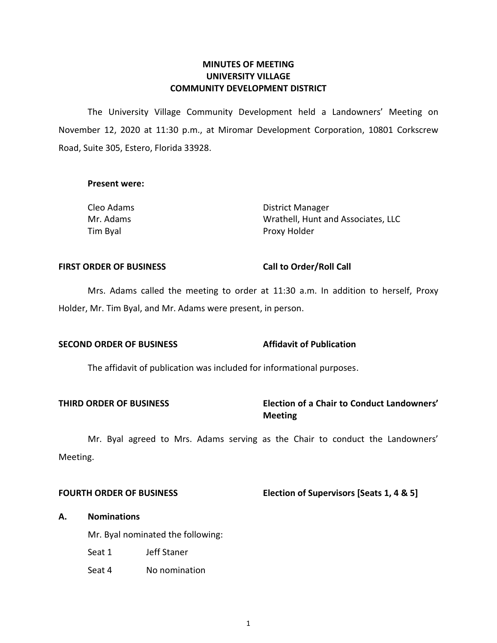# **COMMUNITY DEVELOPMENT DISTRICT MINUTES OF MEETING UNIVERSITY VILLAGE**

 The University Village Community Development held a Landowners' Meeting on November 12, 2020 at 11:30 p.m., at Miromar Development Corporation, 10801 Corkscrew Road, Suite 305, Estero, Florida 33928.

# **Present were:**

| Cleo Adams | District Manager                   |
|------------|------------------------------------|
| Mr. Adams  | Wrathell, Hunt and Associates, LLC |
| Tim Byal   | Proxy Holder                       |

#### **FIRST ORDER OF BUSINESS**

# **Call to Order/Roll Call**

**Affidavit of Publication** 

 Mrs. Adams called the meeting to order at 11:30 a.m. In addition to herself, Proxy Holder, Mr. Tim Byal, and Mr. Adams were present, in person.

# **SECOND ORDER OF BUSINESS**

The affidavit of publication was included for informational purposes.

# **THIRD ORDER OF BUSINESS Election of a Chair to Conduct Landowners' Meeting**

 Mr. Byal agreed to Mrs. Adams serving as the Chair to conduct the Landowners' Meeting.

### **FOURTH ORDER OF BUSINESS**

# **Flection of Supervisors [Seats 1, 4 & 5]**

### **A. Nominations**

Mr. Byal nominated the following:

- Seat 1 Jeff Staner
- Seat 4 No nomination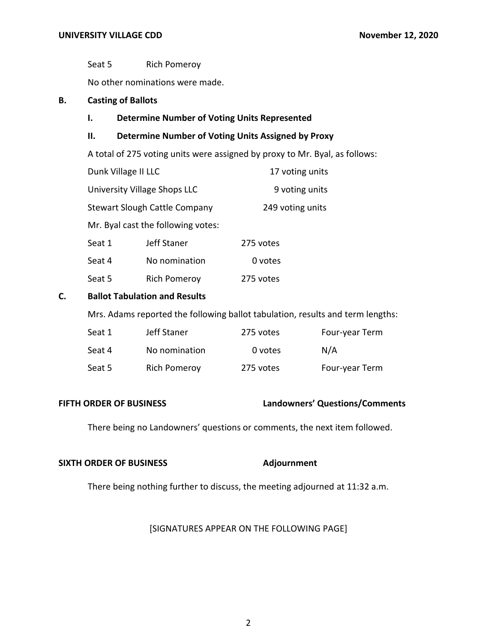Seat 5 Rich Pomeroy

No other nominations were made.

# **B. Casting of Ballots**

# **I. Determine Number of Voting Units Represented**

# **II. Determine Number of Voting Units Assigned by Proxy**

A total of 275 voting units were assigned by proxy to Mr. Byal, as follows:

| Dunk Village II LLC                  |                                    | 17 voting units  |  |
|--------------------------------------|------------------------------------|------------------|--|
| University Village Shops LLC         |                                    | 9 voting units   |  |
| <b>Stewart Slough Cattle Company</b> |                                    | 249 voting units |  |
|                                      | Mr. Byal cast the following votes: |                  |  |
| Seat 1                               | Jeff Staner                        | 275 votes        |  |
| Seat 4                               | No nomination                      | 0 votes          |  |
| Seat 5                               | <b>Rich Pomeroy</b>                | 275 votes        |  |

#### **Ballot Tabulation and Results C.**

Mrs. Adams reported the following ballot tabulation, results and term lengths:

| Seat 1 | Jeff Staner         | 275 votes | Four-year Term |
|--------|---------------------|-----------|----------------|
| Seat 4 | No nomination       | 0 votes   | N/A            |
| Seat 5 | <b>Rich Pomeroy</b> | 275 votes | Four-year Term |

### **FIFTH ORDER OF BUSINESS**

# **FIFTH ORDER OF BUSINESS Landowners' Questions/Comments**

There being no Landowners' questions or comments, the next item followed.

### **SIXTH ORDER OF BUSINESS** Adjournment

There being nothing further to discuss, the meeting adjourned at 11:32 a.m.

### [SIGNATURES APPEAR ON THE FOLLOWING PAGE]